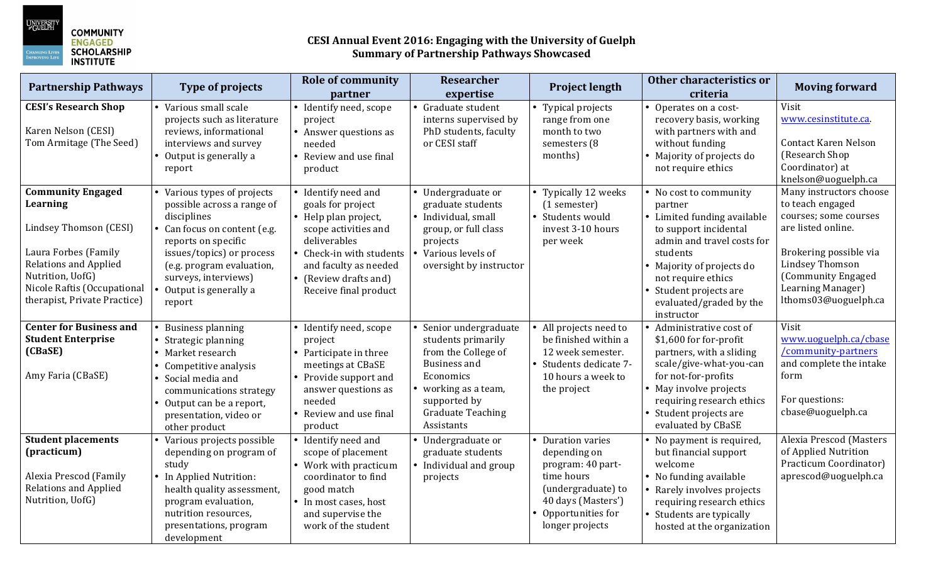

## **CESI Annual Event 2016: Engaging with the University of Guelph Summary of Partnership Pathways Showcased**

| <b>Partnership Pathways</b>                                                                                                                                                                               | <b>Type of projects</b>                                                                                                                                                                                                                          | <b>Role of community</b><br>partner                                                                                                                                                                             | <b>Researcher</b><br>expertise                                                                                                                                                        | <b>Project length</b>                                                                                                                                    | Other characteristics or<br>criteria                                                                                                                                                                                                                      | <b>Moving forward</b>                                                                                                                                                                                      |
|-----------------------------------------------------------------------------------------------------------------------------------------------------------------------------------------------------------|--------------------------------------------------------------------------------------------------------------------------------------------------------------------------------------------------------------------------------------------------|-----------------------------------------------------------------------------------------------------------------------------------------------------------------------------------------------------------------|---------------------------------------------------------------------------------------------------------------------------------------------------------------------------------------|----------------------------------------------------------------------------------------------------------------------------------------------------------|-----------------------------------------------------------------------------------------------------------------------------------------------------------------------------------------------------------------------------------------------------------|------------------------------------------------------------------------------------------------------------------------------------------------------------------------------------------------------------|
| <b>CESI's Research Shop</b><br>Karen Nelson (CESI)<br>Tom Armitage (The Seed)                                                                                                                             | • Various small scale<br>projects such as literature<br>reviews, informational<br>interviews and survey<br>• Output is generally a<br>report                                                                                                     | • Identify need, scope<br>project<br>• Answer questions as<br>needed<br>• Review and use final<br>product                                                                                                       | • Graduate student<br>interns supervised by<br>PhD students, faculty<br>or CESI staff                                                                                                 | • Typical projects<br>range from one<br>month to two<br>semesters (8<br>months)                                                                          | • Operates on a cost-<br>recovery basis, working<br>with partners with and<br>without funding<br>Majority of projects do<br>not require ethics                                                                                                            | Visit<br>www.cesinstitute.ca.<br><b>Contact Karen Nelson</b><br>(Research Shop<br>Coordinator) at<br>knelson@uoguelph.ca                                                                                   |
| <b>Community Engaged</b><br>Learning<br>Lindsey Thomson (CESI)<br>Laura Forbes (Family<br><b>Relations and Applied</b><br>Nutrition, UofG)<br>Nicole Raftis (Occupational<br>therapist, Private Practice) | Various types of projects<br>possible across a range of<br>disciplines<br>Can focus on content (e.g.<br>reports on specific<br>issues/topics) or process<br>(e.g. program evaluation,<br>surveys, interviews)<br>Output is generally a<br>report | • Identify need and<br>goals for project<br>• Help plan project,<br>scope activities and<br>deliverables<br>• Check-in with students<br>and faculty as needed<br>• (Review drafts and)<br>Receive final product | • Undergraduate or<br>graduate students<br>• Individual, small<br>group, or full class<br>projects<br>Various levels of<br>$\bullet$<br>oversight by instructor                       | • Typically 12 weeks<br>(1 semester)<br>• Students would<br>invest 3-10 hours<br>per week                                                                | • No cost to community<br>partner<br>• Limited funding available<br>to support incidental<br>admin and travel costs for<br>students<br>• Majority of projects do<br>not require ethics<br>• Student projects are<br>evaluated/graded by the<br>instructor | Many instructors choose<br>to teach engaged<br>courses; some courses<br>are listed online.<br>Brokering possible via<br>Lindsey Thomson<br>(Community Engaged<br>Learning Manager)<br>lthoms03@uoguelph.ca |
| <b>Center for Business and</b><br><b>Student Enterprise</b><br>(CBaSE)<br>Amy Faria (CBaSE)                                                                                                               | <b>Business planning</b><br>Strategic planning<br>Market research<br>Competitive analysis<br>Social media and<br>communications strategy<br>Output can be a report,<br>presentation, video or<br>other product                                   | • Identify need, scope<br>project<br>• Participate in three<br>meetings at CBaSE<br>• Provide support and<br>answer questions as<br>needed<br>Review and use final<br>product                                   | Senior undergraduate<br>students primarily<br>from the College of<br><b>Business and</b><br>Economics<br>working as a team,<br>supported by<br><b>Graduate Teaching</b><br>Assistants | • All projects need to<br>be finished within a<br>12 week semester.<br>Students dedicate 7-<br>10 hours a week to<br>the project                         | Administrative cost of<br>\$1,600 for for-profit<br>partners, with a sliding<br>scale/give-what-you-can<br>for not-for-profits<br>• May involve projects<br>requiring research ethics<br>Student projects are<br>evaluated by CBaSE                       | Visit<br>www.uoguelph.ca/cbase<br>/community-partners<br>and complete the intake<br>form<br>For questions:<br>cbase@uoguelph.ca                                                                            |
| <b>Student placements</b><br>(practicum)<br>Alexia Prescod (Family<br><b>Relations and Applied</b><br>Nutrition, UofG)                                                                                    | Various projects possible<br>depending on program of<br>study<br>• In Applied Nutrition:<br>health quality assessment,<br>program evaluation,<br>nutrition resources,<br>presentations, program<br>development                                   | Identify need and<br>scope of placement<br>• Work with practicum<br>coordinator to find<br>good match<br>• In most cases, host<br>and supervise the<br>work of the student                                      | Undergraduate or<br>graduate students<br>• Individual and group<br>projects                                                                                                           | • Duration varies<br>depending on<br>program: 40 part-<br>time hours<br>(undergraduate) to<br>40 days (Masters')<br>Opportunities for<br>longer projects | No payment is required,<br>but financial support<br>welcome<br>No funding available<br>Rarely involves projects<br>requiring research ethics<br>• Students are typically<br>hosted at the organization                                                    | Alexia Prescod (Masters<br>of Applied Nutrition<br>Practicum Coordinator)<br>aprescod@uoguelph.ca                                                                                                          |